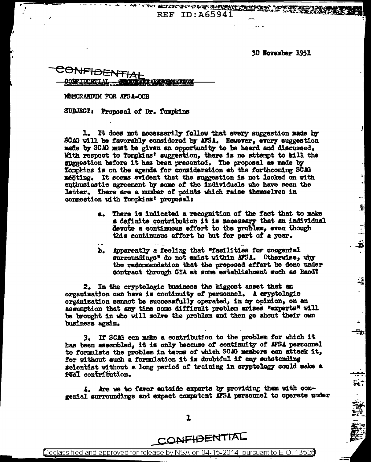30 November 1951

 $\overline{\phantom{a}}$ 

휥

회

ᅽ

동물

"每一篇"

ONFIDENTIA

MEMORANDUM FOR AFSA-OOB

SUBJECT: Proposal of Dr. Tompkins

It does not necessarily follow that every suggestion made by l. SCAG will be favorably considered by AFSA. However, every suggestion made by SCAG must be given an opportunity to be heard and discussed. With respect to Tompkins' suggestion, there is no attempt to kill the suggestion before it has been presented. The proposal as made by Tompkins is on the agenda for consideration at the forthcoming SCAG meeting. It seems evident that the suggestion is not looked on with enthusiastic agreement by some of the individuals who have seen the letter. There are a mumber of points which raise themselves in connection with Tompkins' proposal:

> a. There is indicated a recognition of the fact that to make # definite contribution it is necessary that an individual devote a continuous effort to the problem, even though this continuous effort be but for part of a year.

THE SECOND PROPERTY OF THE RESEARCH OF THE REAL PROPERTY OF THE REAL PROPERTY OF THE REAL PROPERTY OF THE REAL PROPERTY OF THE REAL PROPERTY OF THE REAL PROPERTY OF THE REAL PROPERTY OF THE REAL PROPERTY OF THE REAL PROPER

**REF ID: A65941** 

b. Apparently a feeling that "facilities for congenial surroundings<sup>x</sup> do not exist within AFSA. Otherwise, why the redormendation that the proposed effort be done under contract through CIA at some establishment such as Rand?

2. In the cryptologic business the biggest asset that an organization can have is continuity of personnel. A eryptologic organization cannot be successfully operated, in my opinion, on an assumption that any time some difficult problem arises "experts" will be brought in who will solve the problem and then go about their own business again.

3. If SCAG can make a contribution to the problem for which it has been assembled, it is only because of continuity of AFSA personnel to formulate the problem in terms of which SCAG members can attack it, for without such a formulation it is doubtful if any outstanding scientist without a long period of training in cryptology could make a feal contribution.

4. Are we to favor outside experts by providing them with congenial surroundings and expect competent AFSA personnel to operate under

1

CONFIDENTIAL